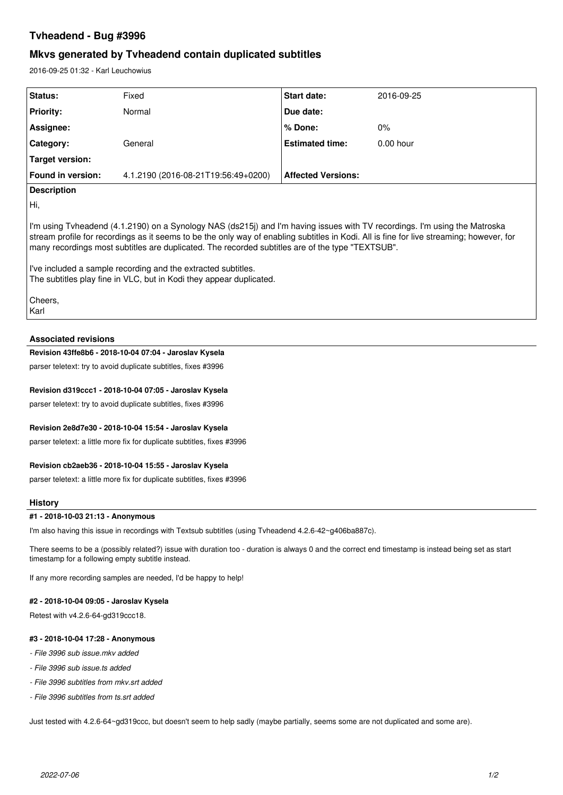# **Tvheadend - Bug #3996**

# **Mkvs generated by Tvheadend contain duplicated subtitles**

2016-09-25 01:32 - Karl Leuchowius

| <b>Status:</b>         | Fixed                               | <b>Start date:</b>        | 2016-09-25  |
|------------------------|-------------------------------------|---------------------------|-------------|
| <b>Priority:</b>       | Normal                              | Due date:                 |             |
| Assignee:              |                                     | ∣% Done:                  | $0\%$       |
| Category:              | General                             | <b>Estimated time:</b>    | $0.00$ hour |
| <b>Target version:</b> |                                     |                           |             |
| Found in version:      | 4.1.2190 (2016-08-21T19:56:49+0200) | <b>Affected Versions:</b> |             |
| <b>Description</b>     |                                     |                           |             |

Hi,

I'm using Tvheadend (4.1.2190) on a Synology NAS (ds215j) and I'm having issues with TV recordings. I'm using the Matroska stream profile for recordings as it seems to be the only way of enabling subtitles in Kodi. All is fine for live streaming; however, for many recordings most subtitles are duplicated. The recorded subtitles are of the type "TEXTSUB".

I've included a sample recording and the extracted subtitles. The subtitles play fine in VLC, but in Kodi they appear duplicated.

Cheers, Karl

## **Associated revisions**

#### **Revision 43ffe8b6 - 2018-10-04 07:04 - Jaroslav Kysela**

parser teletext: try to avoid duplicate subtitles, fixes #3996

# **Revision d319ccc1 - 2018-10-04 07:05 - Jaroslav Kysela**

parser teletext: try to avoid duplicate subtitles, fixes #3996

### **Revision 2e8d7e30 - 2018-10-04 15:54 - Jaroslav Kysela**

parser teletext: a little more fix for duplicate subtitles, fixes #3996

### **Revision cb2aeb36 - 2018-10-04 15:55 - Jaroslav Kysela**

parser teletext: a little more fix for duplicate subtitles, fixes #3996

#### **History**

#### **#1 - 2018-10-03 21:13 - Anonymous**

I'm also having this issue in recordings with Textsub subtitles (using Tvheadend 4.2.6-42~g406ba887c).

There seems to be a (possibly related?) issue with duration too - duration is always 0 and the correct end timestamp is instead being set as start timestamp for a following empty subtitle instead.

If any more recording samples are needed, I'd be happy to help!

#### **#2 - 2018-10-04 09:05 - Jaroslav Kysela**

Retest with v4.2.6-64-gd319ccc18.

#### **#3 - 2018-10-04 17:28 - Anonymous**

- *File 3996 sub issue.mkv added*
- *File 3996 sub issue.ts added*
- *File 3996 subtitles from mkv.srt added*
- *File 3996 subtitles from ts.srt added*

Just tested with 4.2.6-64~gd319ccc, but doesn't seem to help sadly (maybe partially, seems some are not duplicated and some are).